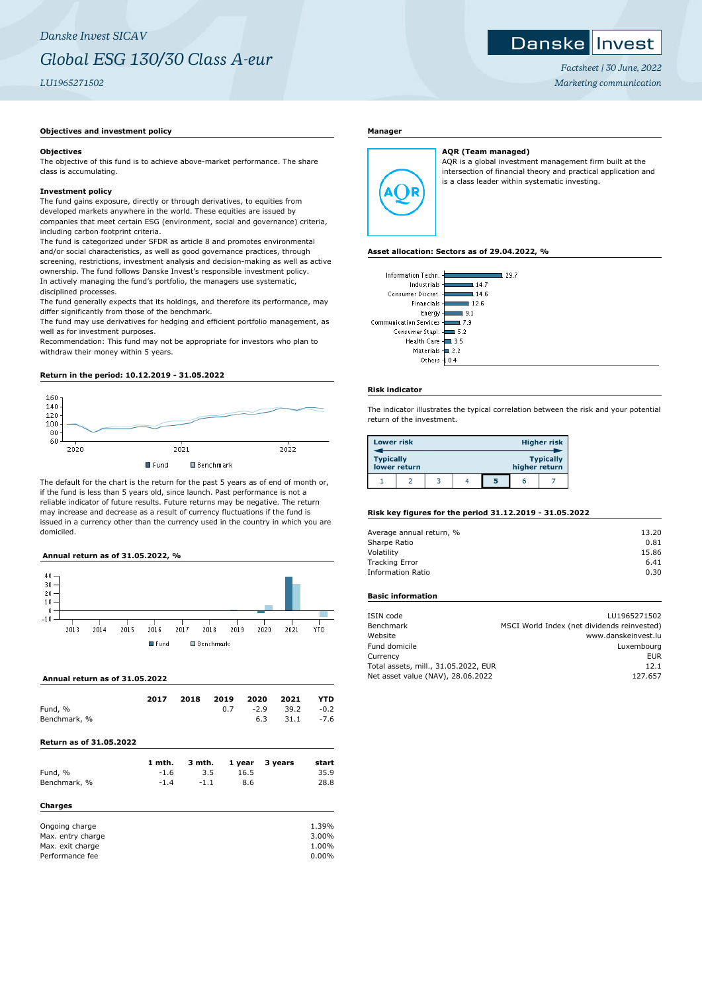## **Objectives and investment policy**

#### **Objectives**

The objective of this fund is to achieve above-market performance. The share class is accumulating.

## **Investment policy**

The fund gains exposure, directly or through derivatives, to equities from developed markets anywhere in the world. These equities are issued by companies that meet certain ESG (environment, social and governance) criteria, including carbon footprint criteria.

The fund is categorized under SFDR as article 8 and promotes environmental and/or social characteristics, as well as good governance practices, through screening, restrictions, investment analysis and decision-making as well as active ownership. The fund follows Danske Invest's responsible investment policy. In actively managing the fund's portfolio, the managers use systematic, disciplined processes.

The fund generally expects that its holdings, and therefore its performance, may differ significantly from those of the benchmark.

The fund may use derivatives for hedging and efficient portfolio management, as well as for investment purposes.

Recommendation: This fund may not be appropriate for investors who plan to withdraw their money within 5 years.

## **Return in the period: 10.12.2019 - 31.05.2022**



The default for the chart is the return for the past 5 years as of end of month or, if the fund is less than 5 years old, since launch. Past performance is not a reliable indicator of future results. Future returns may be negative. The return may increase and decrease as a result of currency fluctuations if the fund is issued in a currency other than the currency used in the country in which you are domiciled.

## **Annual return as of 31.05.2022, %**



#### **Annual return as of 31.05.2022**

|              | 2017 | 2018 | 2019 2020 2021 |     |                        | <b>YTD</b> |
|--------------|------|------|----------------|-----|------------------------|------------|
| Fund, %      |      |      |                |     | $0.7 -2.9$ 39.2 $-0.2$ |            |
| Benchmark, % |      |      |                | 6.3 | $31.1 -7.6$            |            |

## **Return as of 31.05.2022**

| Fund, %           | 1 mth.<br>$-1.6$ | 3 mth.<br>3.5 | 1 year<br>16.5 | 3 years | start<br>35.9 |
|-------------------|------------------|---------------|----------------|---------|---------------|
| Benchmark, %      | $-1.4$           | $-1.1$        | 8.6            |         | 28.8          |
| Charges           |                  |               |                |         |               |
| Ongoing charge    |                  |               |                |         | 1.39%         |
| Max. entry charge |                  |               |                |         | 3.00%         |
| Max. exit charge  |                  |               |                |         | 1.00%         |
| Performance fee   |                  |               |                |         | 0.00%         |

## **Manager**



**AQR (Team managed)** AQR is a global investment management firm built at the intersection of financial theory and practical application and is a class leader within systematic investing.

#### **Asset allocation: Sectors as of 29.04.2022, %**

| Information Techn.<br>Industrials -l | 29.7<br>14.7 |
|--------------------------------------|--------------|
| Consumer Discret. -                  | l 14.6       |
| Financials-                          | 12.6         |
| Energy-                              | 9.1          |
| Communication Services -             | 7.9          |
| Consumer Stapl. -                    | 5.2          |
| Health Care -                        | . 3.5        |
| Materials $\pm$ 2.2                  |              |
| Others                               |              |
|                                      |              |

## **Risk indicator**

The indicator illustrates the typical correlation between the risk and your potential return of the investment.

| <b>Lower risk</b>                                                     |  |  | <b>Higher risk</b> |   |   |  |
|-----------------------------------------------------------------------|--|--|--------------------|---|---|--|
| <b>Typically</b><br><b>Typically</b><br>lower return<br>higher return |  |  |                    |   |   |  |
|                                                                       |  |  |                    | 5 | n |  |

# **Risk key figures for the period 31.12.2019 - 31.05.2022**

| Average annual return, % | 13.20 |
|--------------------------|-------|
| Sharpe Ratio             | 0.81  |
| Volatility               | 15.86 |
| <b>Tracking Error</b>    | 6.41  |
| <b>Information Ratio</b> | 0.30  |

# **Basic information**

| ISIN code                            | LU1965271502                                |
|--------------------------------------|---------------------------------------------|
| Benchmark                            | MSCI World Index (net dividends reinvested) |
| Website                              | www.danskeinvest.lu                         |
| Fund domicile                        | Luxembourg                                  |
| Currency                             | EUR                                         |
| Total assets, mill., 31.05.2022, EUR | 12.1                                        |
| Net asset value (NAV), 28.06.2022    | 127.657                                     |



*Factsheet | 30 June, 2022 Marketing communication*